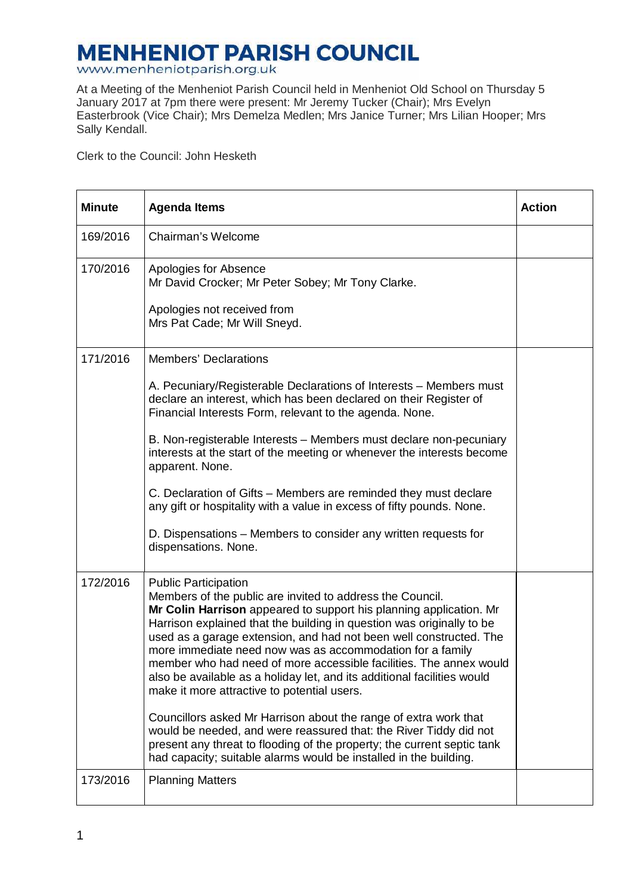## **MENHENIOT PARISH COUNCIL**<br>www.menheniotparish.org.uk

At a Meeting of the Menheniot Parish Council held in Menheniot Old School on Thursday 5 January 2017 at 7pm there were present: Mr Jeremy Tucker (Chair); Mrs Evelyn Easterbrook (Vice Chair); Mrs Demelza Medlen; Mrs Janice Turner; Mrs Lilian Hooper; Mrs Sally Kendall.

Clerk to the Council: John Hesketh

| <b>Minute</b> | <b>Agenda Items</b>                                                                                                                                                                                                                                                                                                                                                                                                                                                                                                                                                        | <b>Action</b> |
|---------------|----------------------------------------------------------------------------------------------------------------------------------------------------------------------------------------------------------------------------------------------------------------------------------------------------------------------------------------------------------------------------------------------------------------------------------------------------------------------------------------------------------------------------------------------------------------------------|---------------|
| 169/2016      | Chairman's Welcome                                                                                                                                                                                                                                                                                                                                                                                                                                                                                                                                                         |               |
| 170/2016      | Apologies for Absence<br>Mr David Crocker; Mr Peter Sobey; Mr Tony Clarke.                                                                                                                                                                                                                                                                                                                                                                                                                                                                                                 |               |
|               | Apologies not received from<br>Mrs Pat Cade; Mr Will Sneyd.                                                                                                                                                                                                                                                                                                                                                                                                                                                                                                                |               |
| 171/2016      | <b>Members' Declarations</b>                                                                                                                                                                                                                                                                                                                                                                                                                                                                                                                                               |               |
|               | A. Pecuniary/Registerable Declarations of Interests - Members must<br>declare an interest, which has been declared on their Register of<br>Financial Interests Form, relevant to the agenda. None.                                                                                                                                                                                                                                                                                                                                                                         |               |
|               | B. Non-registerable Interests - Members must declare non-pecuniary<br>interests at the start of the meeting or whenever the interests become<br>apparent. None.                                                                                                                                                                                                                                                                                                                                                                                                            |               |
|               | C. Declaration of Gifts - Members are reminded they must declare<br>any gift or hospitality with a value in excess of fifty pounds. None.                                                                                                                                                                                                                                                                                                                                                                                                                                  |               |
|               | D. Dispensations – Members to consider any written requests for<br>dispensations. None.                                                                                                                                                                                                                                                                                                                                                                                                                                                                                    |               |
| 172/2016      | <b>Public Participation</b><br>Members of the public are invited to address the Council.<br>Mr Colin Harrison appeared to support his planning application. Mr<br>Harrison explained that the building in question was originally to be<br>used as a garage extension, and had not been well constructed. The<br>more immediate need now was as accommodation for a family<br>member who had need of more accessible facilities. The annex would<br>also be available as a holiday let, and its additional facilities would<br>make it more attractive to potential users. |               |
|               | Councillors asked Mr Harrison about the range of extra work that<br>would be needed, and were reassured that: the River Tiddy did not<br>present any threat to flooding of the property; the current septic tank<br>had capacity; suitable alarms would be installed in the building.                                                                                                                                                                                                                                                                                      |               |
| 173/2016      | <b>Planning Matters</b>                                                                                                                                                                                                                                                                                                                                                                                                                                                                                                                                                    |               |